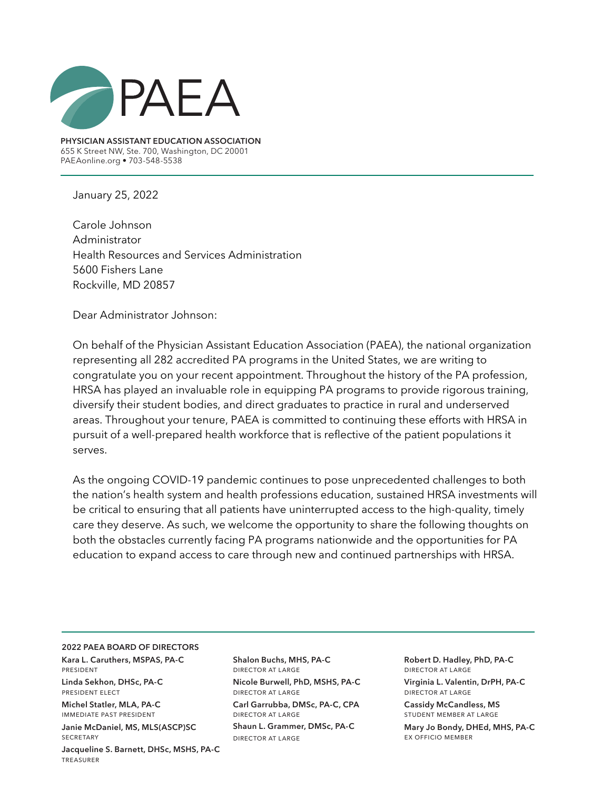

**PHYSICIAN ASSISTANT EDUCATION ASSOCIATION** 655 K Street NW, Ste. 700, Washington, DC 20001 PAEAonline.org • 703-548-5538

January 25, 2022

Carole Johnson Administrator Health Resources and Services Administration 5600 Fishers Lane Rockville, MD 20857

Dear Administrator Johnson:

On behalf of the Physician Assistant Education Association (PAEA), the national organization representing all 282 accredited PA programs in the United States, we are writing to congratulate you on your recent appointment. Throughout the history of the PA profession, HRSA has played an invaluable role in equipping PA programs to provide rigorous training, diversify their student bodies, and direct graduates to practice in rural and underserved areas. Throughout your tenure, PAEA is committed to continuing these efforts with HRSA in pursuit of a well-prepared health workforce that is reflective of the patient populations it serves.

As the ongoing COVID-19 pandemic continues to pose unprecedented challenges to both the nation's health system and health professions education, sustained HRSA investments will be critical to ensuring that all patients have uninterrupted access to the high-quality, timely care they deserve. As such, we welcome the opportunity to share the following thoughts on both the obstacles currently facing PA programs nationwide and the opportunities for PA education to expand access to care through new and continued partnerships with HRSA.

#### **2022 PAEA BOARD OF DIRECTORS**

**Kara L. Caruthers, MSPAS, PA-C**  president

**Linda Sekhon, DHSc, PA-C**  president elect

treasurer

**Michel Statler, MLA, PA-C**  immediate past president **Janie McDaniel, MS, MLS(ASCP)SC**

**SECRETARY Jacqueline S. Barnett, DHSc, MSHS, PA-C** **Shalon Buchs, MHS, PA-C** director at large **Nicole Burwell, PhD, MSHS, PA-C** director at large **Carl Garrubba, DMSc, PA-C, CPA** director at large **Shaun L. Grammer, DMSc, PA-C** director at large

**Robert D. Hadley, PhD, PA-C** director at large **Virginia L. Valentin, DrPH, PA-C** director at large

**Cassidy McCandless, MS**  student member at large **Mary Jo Bondy, DHEd, MHS, PA-C** ex officio member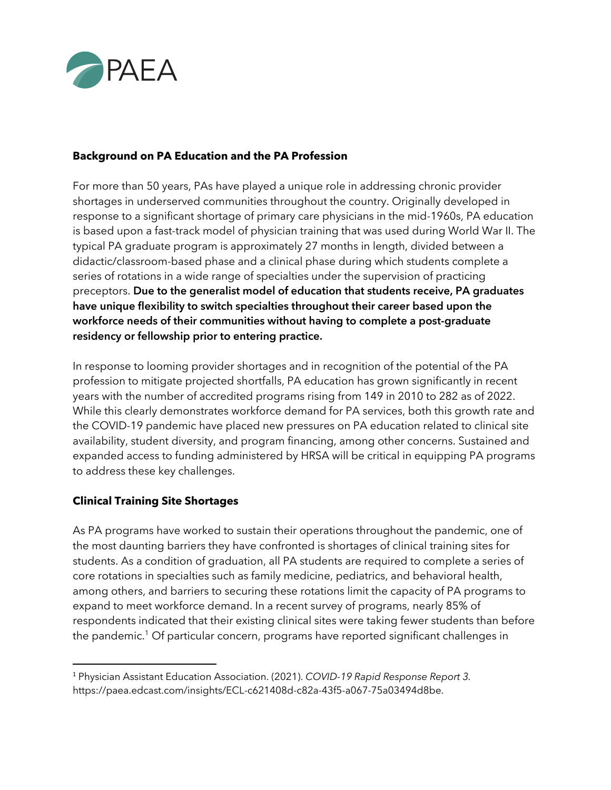

# **Background on PA Education and the PA Profession**

For more than 50 years, PAs have played a unique role in addressing chronic provider shortages in underserved communities throughout the country. Originally developed in response to a significant shortage of primary care physicians in the mid-1960s, PA education is based upon a fast-track model of physician training that was used during World War II. The typical PA graduate program is approximately 27 months in length, divided between a didactic/classroom-based phase and a clinical phase during which students complete a series of rotations in a wide range of specialties under the supervision of practicing preceptors. **Due to the generalist model of education that students receive, PA graduates have unique flexibility to switch specialties throughout their career based upon the workforce needs of their communities without having to complete a post-graduate residency or fellowship prior to entering practice.**

In response to looming provider shortages and in recognition of the potential of the PA profession to mitigate projected shortfalls, PA education has grown significantly in recent years with the number of accredited programs rising from 149 in 2010 to 282 as of 2022. While this clearly demonstrates workforce demand for PA services, both this growth rate and the COVID-19 pandemic have placed new pressures on PA education related to clinical site availability, student diversity, and program financing, among other concerns. Sustained and expanded access to funding administered by HRSA will be critical in equipping PA programs to address these key challenges.

## **Clinical Training Site Shortages**

As PA programs have worked to sustain their operations throughout the pandemic, one of the most daunting barriers they have confronted is shortages of clinical training sites for students. As a condition of graduation, all PA students are required to complete a series of core rotations in specialties such as family medicine, pediatrics, and behavioral health, among others, and barriers to securing these rotations limit the capacity of PA programs to expand to meet workforce demand. In a recent survey of programs, nearly 85% of respondents indicated that their existing clinical sites were taking fewer students than before the pandemic.<sup>1</sup> Of particular concern, programs have reported significant challenges in

<sup>1</sup> Physician Assistant Education Association. (2021). *COVID-19 Rapid Response Report 3.* https://paea.edcast.com/insights/ECL-c621408d-c82a-43f5-a067-75a03494d8be.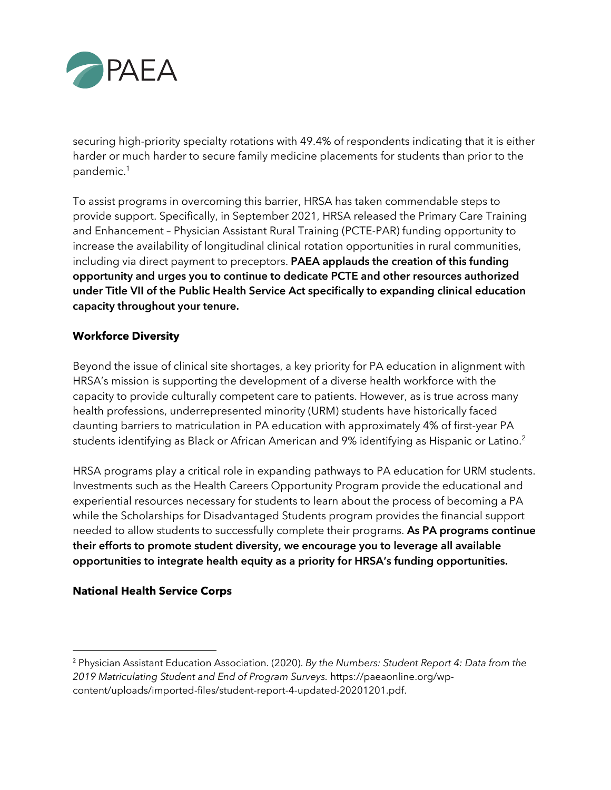

securing high-priority specialty rotations with 49.4% of respondents indicating that it is either harder or much harder to secure family medicine placements for students than prior to the pandemic.<sup>1</sup>

To assist programs in overcoming this barrier, HRSA has taken commendable steps to provide support. Specifically, in September 2021, HRSA released the Primary Care Training and Enhancement – Physician Assistant Rural Training (PCTE-PAR) funding opportunity to increase the availability of longitudinal clinical rotation opportunities in rural communities, including via direct payment to preceptors. **PAEA applauds the creation of this funding opportunity and urges you to continue to dedicate PCTE and other resources authorized under Title VII of the Public Health Service Act specifically to expanding clinical education capacity throughout your tenure.**

#### **Workforce Diversity**

Beyond the issue of clinical site shortages, a key priority for PA education in alignment with HRSA's mission is supporting the development of a diverse health workforce with the capacity to provide culturally competent care to patients. However, as is true across many health professions, underrepresented minority (URM) students have historically faced daunting barriers to matriculation in PA education with approximately 4% of first-year PA students identifying as Black or African American and 9% identifying as Hispanic or Latino.2

HRSA programs play a critical role in expanding pathways to PA education for URM students. Investments such as the Health Careers Opportunity Program provide the educational and experiential resources necessary for students to learn about the process of becoming a PA while the Scholarships for Disadvantaged Students program provides the financial support needed to allow students to successfully complete their programs. **As PA programs continue their efforts to promote student diversity, we encourage you to leverage all available opportunities to integrate health equity as a priority for HRSA's funding opportunities.**

## **National Health Service Corps**

<sup>2</sup> Physician Assistant Education Association. (2020). *By the Numbers: Student Report 4: Data from the 2019 Matriculating Student and End of Program Surveys.* https://paeaonline.org/wpcontent/uploads/imported-files/student-report-4-updated-20201201.pdf.